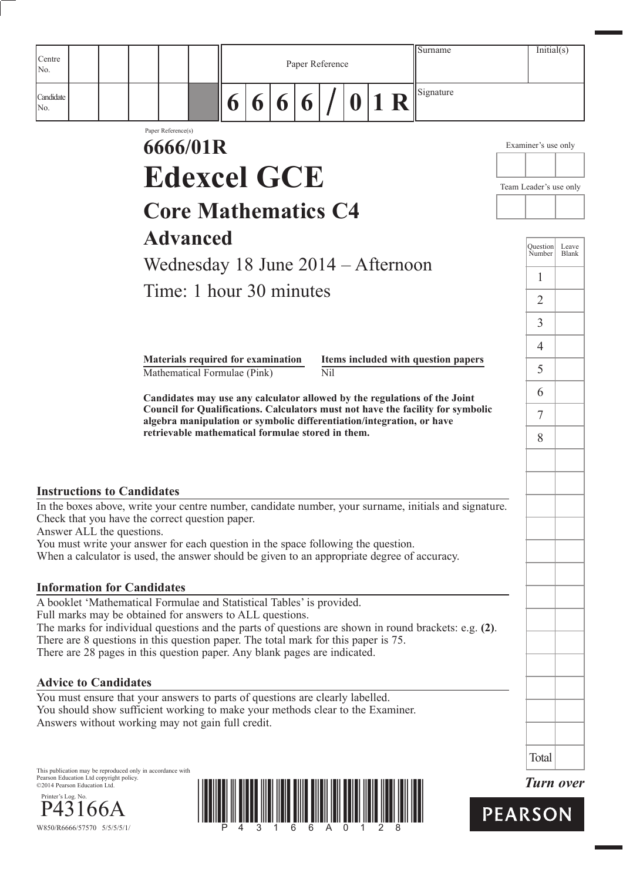| Centre<br>No.                     |                                                                                                                                                                                            |        |   | Paper Reference |            |          |    | Surname                                                                         | Initial(s)                |                       |
|-----------------------------------|--------------------------------------------------------------------------------------------------------------------------------------------------------------------------------------------|--------|---|-----------------|------------|----------|----|---------------------------------------------------------------------------------|---------------------------|-----------------------|
| Candidate<br>No.                  |                                                                                                                                                                                            | 6<br>6 | 6 | 6               |            | $\bf{0}$ | 1R | Signature                                                                       |                           |                       |
|                                   | Paper Reference(s)<br>6666/01R                                                                                                                                                             |        |   |                 |            |          |    |                                                                                 | Examiner's use only       |                       |
|                                   | <b>Edexcel GCE</b>                                                                                                                                                                         |        |   |                 |            |          |    |                                                                                 |                           |                       |
|                                   |                                                                                                                                                                                            |        |   |                 |            |          |    |                                                                                 | Team Leader's use only    |                       |
|                                   | <b>Core Mathematics C4</b>                                                                                                                                                                 |        |   |                 |            |          |    |                                                                                 |                           |                       |
|                                   | <b>Advanced</b>                                                                                                                                                                            |        |   |                 |            |          |    |                                                                                 | <b>Question</b><br>Number | Leave<br><b>Blank</b> |
|                                   | Wednesday 18 June 2014 - Afternoon                                                                                                                                                         |        |   |                 |            |          |    |                                                                                 | $\mathbf{1}$              |                       |
|                                   | Time: 1 hour 30 minutes                                                                                                                                                                    |        |   |                 |            |          |    |                                                                                 | $\overline{2}$            |                       |
|                                   |                                                                                                                                                                                            |        |   |                 |            |          |    |                                                                                 | 3                         |                       |
|                                   |                                                                                                                                                                                            |        |   |                 |            |          |    |                                                                                 | $\overline{4}$            |                       |
|                                   | <b>Materials required for examination</b><br>Mathematical Formulae (Pink)                                                                                                                  |        |   |                 | <b>Nil</b> |          |    | Items included with question papers                                             | 5                         |                       |
|                                   | Candidates may use any calculator allowed by the regulations of the Joint                                                                                                                  |        |   |                 |            |          |    |                                                                                 | 6                         |                       |
|                                   | algebra manipulation or symbolic differentiation/integration, or have<br>retrievable mathematical formulae stored in them.                                                                 |        |   |                 |            |          |    | Council for Qualifications. Calculators must not have the facility for symbolic | $\tau$                    |                       |
|                                   |                                                                                                                                                                                            |        |   |                 |            |          |    |                                                                                 | 8                         |                       |
|                                   |                                                                                                                                                                                            |        |   |                 |            |          |    |                                                                                 |                           |                       |
| <b>Instructions to Candidates</b> |                                                                                                                                                                                            |        |   |                 |            |          |    |                                                                                 |                           |                       |
| Answer ALL the questions.         | In the boxes above, write your centre number, candidate number, your surname, initials and signature.<br>Check that you have the correct question paper.                                   |        |   |                 |            |          |    |                                                                                 |                           |                       |
|                                   | You must write your answer for each question in the space following the question.                                                                                                          |        |   |                 |            |          |    |                                                                                 |                           |                       |
|                                   | When a calculator is used, the answer should be given to an appropriate degree of accuracy.                                                                                                |        |   |                 |            |          |    |                                                                                 |                           |                       |
| <b>Information for Candidates</b> |                                                                                                                                                                                            |        |   |                 |            |          |    |                                                                                 |                           |                       |
|                                   | A booklet 'Mathematical Formulae and Statistical Tables' is provided.<br>Full marks may be obtained for answers to ALL questions.                                                          |        |   |                 |            |          |    |                                                                                 |                           |                       |
|                                   | The marks for individual questions and the parts of questions are shown in round brackets: e.g. (2).<br>There are 8 questions in this question paper. The total mark for this paper is 75. |        |   |                 |            |          |    |                                                                                 |                           |                       |
|                                   | There are 28 pages in this question paper. Any blank pages are indicated.                                                                                                                  |        |   |                 |            |          |    |                                                                                 |                           |                       |
| <b>Advice to Candidates</b>       |                                                                                                                                                                                            |        |   |                 |            |          |    |                                                                                 |                           |                       |
|                                   | You must ensure that your answers to parts of questions are clearly labelled.<br>You should show sufficient working to make your methods clear to the Examiner.                            |        |   |                 |            |          |    |                                                                                 |                           |                       |
|                                   | Answers without working may not gain full credit.                                                                                                                                          |        |   |                 |            |          |    |                                                                                 |                           |                       |
|                                   |                                                                                                                                                                                            |        |   |                 |            |          |    |                                                                                 |                           |                       |

This publication may be reproduced only in accordance with Pearson Education Ltd copyright policy. ©2014 Pearson Education Ltd.







Total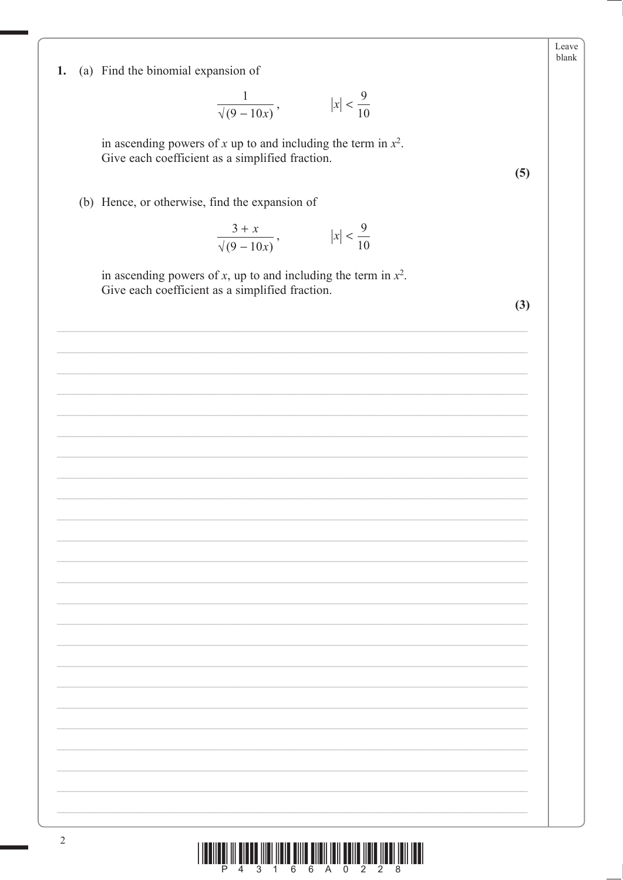(a) Find the binomial expansion of 1.

 $\frac{1}{\sqrt{9-10x}}$ ,  $|x| < \frac{9}{10}$ 

in ascending powers of x up to and including the term in  $x^2$ . Give each coefficient as a simplified fraction.

(b) Hence, or otherwise, find the expansion of

$$
\frac{3+x}{\sqrt{(9-10x)}}, \qquad |x| < \frac{9}{10}
$$

in ascending powers of x, up to and including the term in  $x^2$ . Give each coefficient as a simplified fraction.

 $(3)$ 

 $(5)$ 

Leave blank

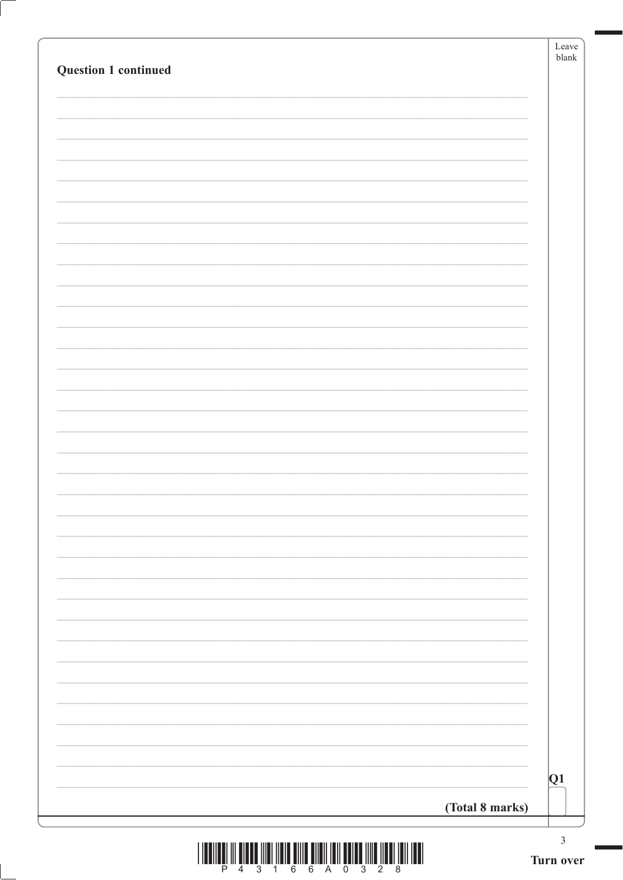| <b>Question 1 continued</b> |                 | Leave<br>$b$ lank           |
|-----------------------------|-----------------|-----------------------------|
|                             |                 |                             |
|                             |                 |                             |
|                             |                 |                             |
|                             |                 |                             |
|                             |                 |                             |
|                             |                 |                             |
|                             |                 |                             |
|                             |                 |                             |
|                             |                 |                             |
|                             |                 |                             |
|                             |                 |                             |
|                             |                 |                             |
|                             |                 |                             |
|                             |                 |                             |
|                             |                 |                             |
|                             |                 |                             |
|                             |                 |                             |
|                             |                 |                             |
|                             |                 |                             |
|                             |                 |                             |
|                             |                 |                             |
|                             | (Total 8 marks) | Q1                          |
|                             |                 | $\ensuremath{\mathfrak{Z}}$ |



ſ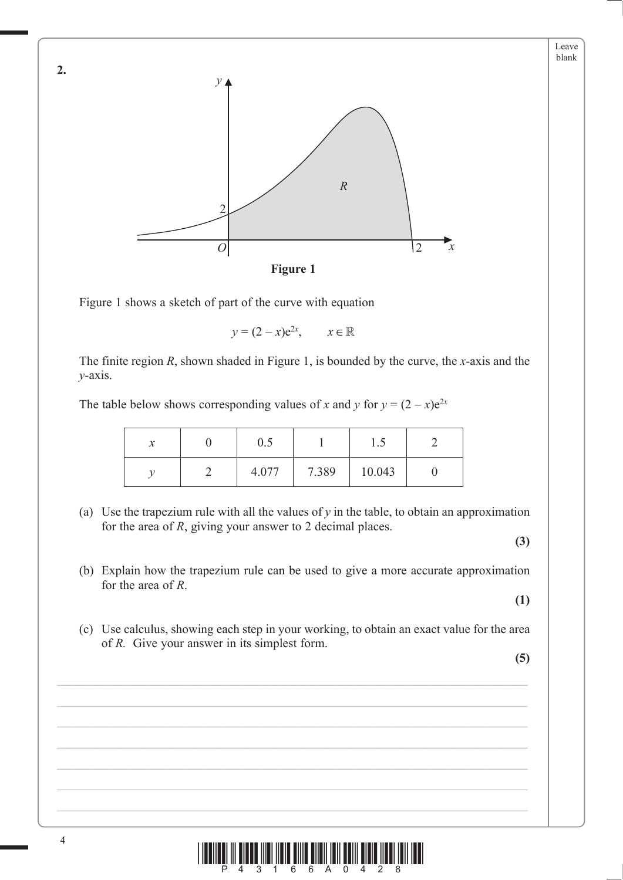

Figure 1 shows a sketch of part of the curve with equation

$$
y = (2 - x)e^{2x}, \qquad x \in \mathbb{R}
$$

The finite region *R*, shown shaded in Figure 1, is bounded by the curve, the *x-*axis and the *y-*axis.

The table below shows corresponding values of *x* and *y* for  $y = (2 - x)e^{2x}$ 

| $\mathbf{v}$<br>$\lambda$ | U.S   |       | ن . 1  |  |
|---------------------------|-------|-------|--------|--|
|                           | 4.077 | 7.389 | 10.043 |  |

(a) Use the trapezium rule with all the values of  $y$  in the table, to obtain an approximation for the area of *R*, giving your answer to 2 decimal places.

**(3)**

Leave blank

 (b) Explain how the trapezium rule can be used to give a more accurate approximation for the area of *R*.

**(1)**

 (c) Use calculus, showing each step in your working, to obtain an exact value for the area of *R.* Give your answer in its simplest form.

**(5)**



4

**2.**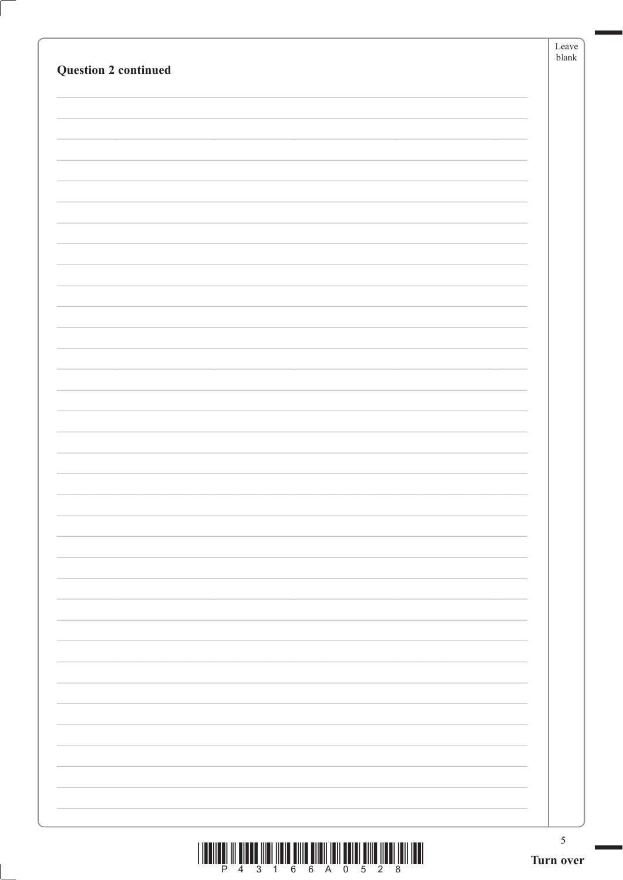|                             | Leave<br>${\it blank}$ |
|-----------------------------|------------------------|
| <b>Question 2 continued</b> |                        |
|                             |                        |
|                             |                        |
|                             |                        |
|                             |                        |
|                             |                        |
|                             |                        |
|                             |                        |
|                             |                        |
|                             |                        |
|                             |                        |
|                             |                        |
|                             |                        |
|                             |                        |
|                             |                        |
|                             |                        |
|                             |                        |
|                             |                        |
|                             |                        |
|                             |                        |
|                             |                        |
|                             |                        |
|                             |                        |
|                             |                        |
|                             |                        |
|                             |                        |
|                             |                        |
|                             |                        |
|                             |                        |
|                             |                        |
|                             |                        |
|                             |                        |
|                             |                        |
|                             |                        |
|                             |                        |
|                             |                        |
|                             |                        |
|                             |                        |
|                             |                        |
|                             | $\sqrt{5}$             |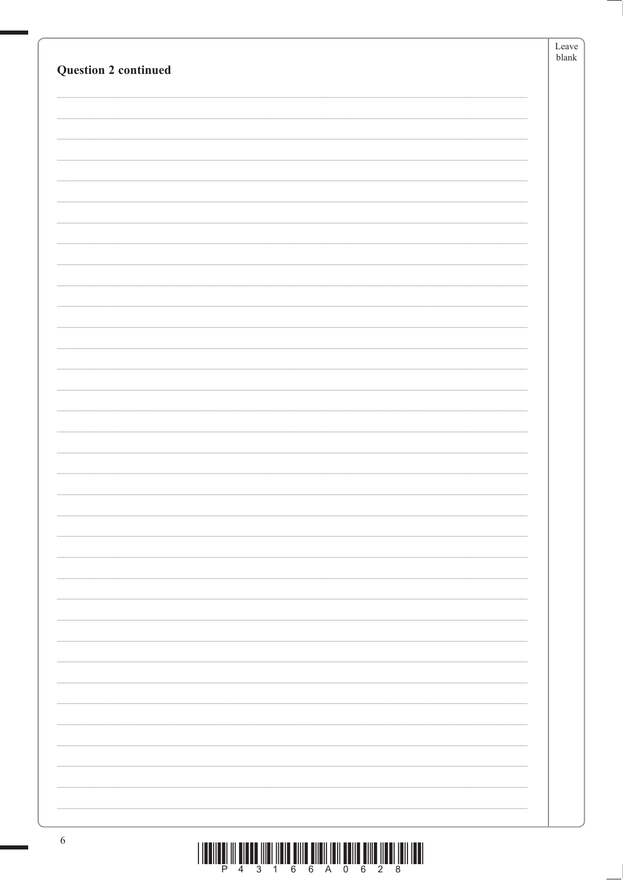| <b>Question 2 continued</b> | Leave<br>${\tt blank}$ |
|-----------------------------|------------------------|
|                             |                        |
|                             |                        |
|                             |                        |
|                             |                        |
|                             |                        |
|                             |                        |
|                             |                        |
|                             |                        |
|                             |                        |
|                             |                        |
|                             |                        |
|                             |                        |
|                             |                        |
|                             |                        |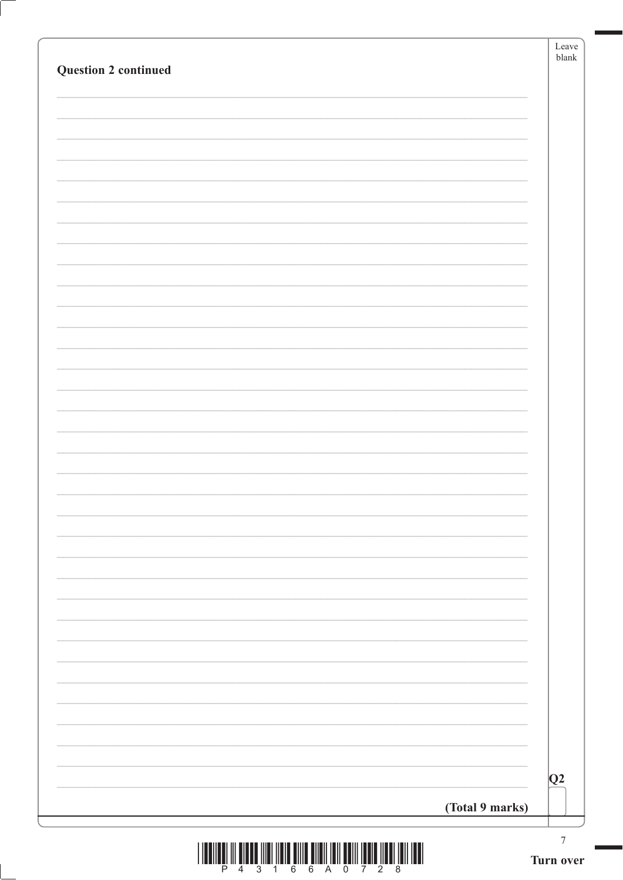| <b>Question 2 continued</b> | blank           |
|-----------------------------|-----------------|
|                             |                 |
|                             |                 |
|                             |                 |
|                             |                 |
|                             |                 |
|                             |                 |
|                             |                 |
|                             |                 |
|                             |                 |
|                             |                 |
|                             |                 |
|                             |                 |
|                             |                 |
|                             |                 |
|                             |                 |
|                             |                 |
|                             |                 |
|                             |                 |
|                             |                 |
|                             |                 |
|                             |                 |
|                             |                 |
|                             |                 |
|                             |                 |
|                             |                 |
|                             |                 |
|                             | $\overline{Q}2$ |
|                             | (Total 9 marks) |



Ç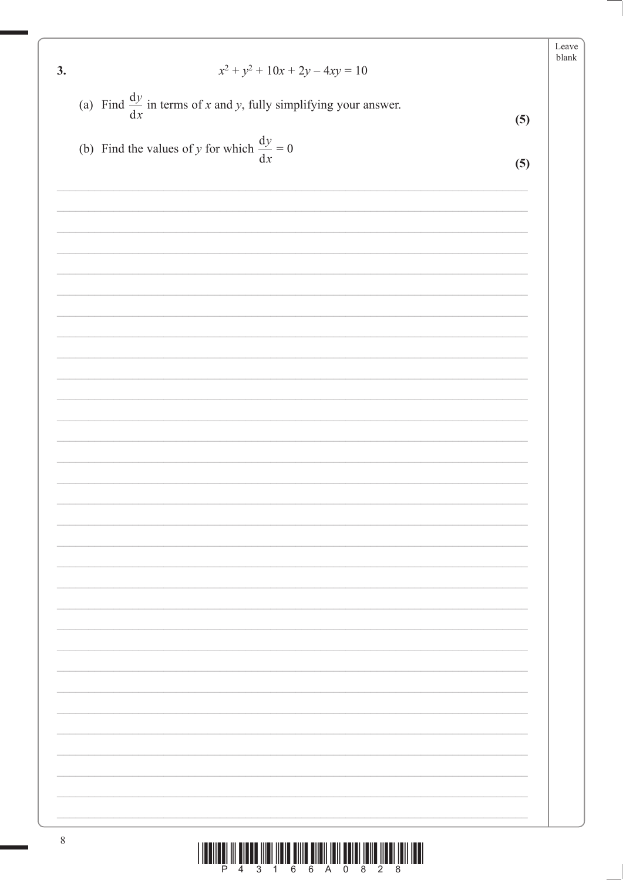|                                                                              |     | Leave<br>${\tt blank}$ |
|------------------------------------------------------------------------------|-----|------------------------|
| $x^2 + y^2 + 10x + 2y - 4xy = 10$<br>3.                                      |     |                        |
| (a) Find $\frac{dy}{dx}$ in terms of x and y, fully simplifying your answer. | (5) |                        |
|                                                                              |     |                        |
| (b) Find the values of y for which $\frac{dy}{dx} = 0$                       | (5) |                        |
|                                                                              |     |                        |
|                                                                              |     |                        |
|                                                                              |     |                        |
|                                                                              |     |                        |
|                                                                              |     |                        |
|                                                                              |     |                        |
|                                                                              |     |                        |
|                                                                              |     |                        |
|                                                                              |     |                        |
|                                                                              |     |                        |
|                                                                              |     |                        |
|                                                                              |     |                        |
|                                                                              |     |                        |
|                                                                              |     |                        |
|                                                                              |     |                        |
|                                                                              |     |                        |
|                                                                              |     |                        |
|                                                                              |     |                        |
|                                                                              |     |                        |
|                                                                              |     |                        |
|                                                                              |     |                        |
|                                                                              |     |                        |
|                                                                              |     |                        |
|                                                                              |     |                        |
|                                                                              |     |                        |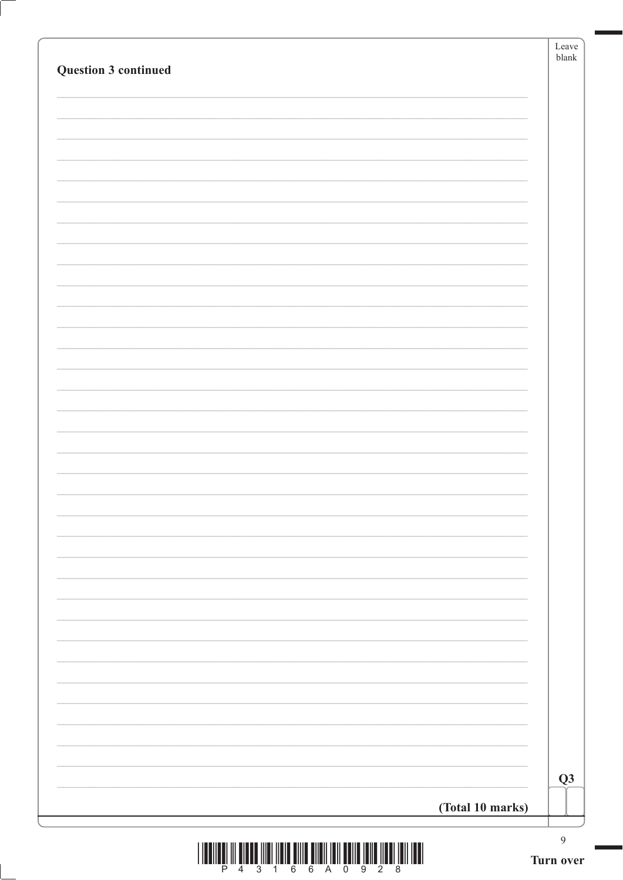| Question 3 continued                                                                                                                                                                                                                                                                                                                                                                                                                                                                                                                                                                                                                                                                                                                                                                                                                                | Leave<br>$b$ lank           |
|-----------------------------------------------------------------------------------------------------------------------------------------------------------------------------------------------------------------------------------------------------------------------------------------------------------------------------------------------------------------------------------------------------------------------------------------------------------------------------------------------------------------------------------------------------------------------------------------------------------------------------------------------------------------------------------------------------------------------------------------------------------------------------------------------------------------------------------------------------|-----------------------------|
|                                                                                                                                                                                                                                                                                                                                                                                                                                                                                                                                                                                                                                                                                                                                                                                                                                                     |                             |
|                                                                                                                                                                                                                                                                                                                                                                                                                                                                                                                                                                                                                                                                                                                                                                                                                                                     |                             |
|                                                                                                                                                                                                                                                                                                                                                                                                                                                                                                                                                                                                                                                                                                                                                                                                                                                     |                             |
|                                                                                                                                                                                                                                                                                                                                                                                                                                                                                                                                                                                                                                                                                                                                                                                                                                                     |                             |
|                                                                                                                                                                                                                                                                                                                                                                                                                                                                                                                                                                                                                                                                                                                                                                                                                                                     |                             |
|                                                                                                                                                                                                                                                                                                                                                                                                                                                                                                                                                                                                                                                                                                                                                                                                                                                     |                             |
|                                                                                                                                                                                                                                                                                                                                                                                                                                                                                                                                                                                                                                                                                                                                                                                                                                                     |                             |
|                                                                                                                                                                                                                                                                                                                                                                                                                                                                                                                                                                                                                                                                                                                                                                                                                                                     |                             |
|                                                                                                                                                                                                                                                                                                                                                                                                                                                                                                                                                                                                                                                                                                                                                                                                                                                     |                             |
|                                                                                                                                                                                                                                                                                                                                                                                                                                                                                                                                                                                                                                                                                                                                                                                                                                                     |                             |
|                                                                                                                                                                                                                                                                                                                                                                                                                                                                                                                                                                                                                                                                                                                                                                                                                                                     |                             |
|                                                                                                                                                                                                                                                                                                                                                                                                                                                                                                                                                                                                                                                                                                                                                                                                                                                     |                             |
|                                                                                                                                                                                                                                                                                                                                                                                                                                                                                                                                                                                                                                                                                                                                                                                                                                                     |                             |
|                                                                                                                                                                                                                                                                                                                                                                                                                                                                                                                                                                                                                                                                                                                                                                                                                                                     |                             |
|                                                                                                                                                                                                                                                                                                                                                                                                                                                                                                                                                                                                                                                                                                                                                                                                                                                     |                             |
|                                                                                                                                                                                                                                                                                                                                                                                                                                                                                                                                                                                                                                                                                                                                                                                                                                                     |                             |
|                                                                                                                                                                                                                                                                                                                                                                                                                                                                                                                                                                                                                                                                                                                                                                                                                                                     |                             |
|                                                                                                                                                                                                                                                                                                                                                                                                                                                                                                                                                                                                                                                                                                                                                                                                                                                     |                             |
|                                                                                                                                                                                                                                                                                                                                                                                                                                                                                                                                                                                                                                                                                                                                                                                                                                                     |                             |
|                                                                                                                                                                                                                                                                                                                                                                                                                                                                                                                                                                                                                                                                                                                                                                                                                                                     |                             |
|                                                                                                                                                                                                                                                                                                                                                                                                                                                                                                                                                                                                                                                                                                                                                                                                                                                     |                             |
|                                                                                                                                                                                                                                                                                                                                                                                                                                                                                                                                                                                                                                                                                                                                                                                                                                                     |                             |
|                                                                                                                                                                                                                                                                                                                                                                                                                                                                                                                                                                                                                                                                                                                                                                                                                                                     |                             |
|                                                                                                                                                                                                                                                                                                                                                                                                                                                                                                                                                                                                                                                                                                                                                                                                                                                     |                             |
|                                                                                                                                                                                                                                                                                                                                                                                                                                                                                                                                                                                                                                                                                                                                                                                                                                                     |                             |
|                                                                                                                                                                                                                                                                                                                                                                                                                                                                                                                                                                                                                                                                                                                                                                                                                                                     |                             |
|                                                                                                                                                                                                                                                                                                                                                                                                                                                                                                                                                                                                                                                                                                                                                                                                                                                     | Q3                          |
| (Total 10 marks)                                                                                                                                                                                                                                                                                                                                                                                                                                                                                                                                                                                                                                                                                                                                                                                                                                    |                             |
| $\frac{1}{4}$ $\frac{1}{3}$ $\frac{1}{4}$ $\frac{1}{6}$ $\frac{1}{6}$ $\frac{1}{6}$ $\frac{1}{4}$ $\frac{1}{3}$ $\frac{1}{2}$ $\frac{1}{9}$ $\frac{1}{2}$ $\frac{1}{8}$ $\frac{1}{1}$<br>$\begin{tabular}{c} \quad \quad \quad & \quad \quad \quad & \quad \quad \quad & \quad \quad \quad \\ \quad \quad \quad & \quad \quad \quad & \quad \quad \quad \\ \quad \quad \quad & \quad \quad \quad & \quad \quad \\ \quad \quad \quad & \quad \quad \quad & \quad \quad \\ \quad \quad \quad & \quad \quad \quad & \quad \quad \\ \quad \quad \quad & \quad \quad \quad & \quad \quad \\ \quad \quad \quad & \quad \quad \quad & \quad \quad \\ \quad \quad \quad & \quad \quad \quad & \quad \quad \\ \quad \quad \quad & \quad \quad \quad & \quad \quad \\ \quad \quad \quad & \quad \quad \quad & \quad \quad \\ \quad \quad \quad & \quad \quad$ | $\overline{9}$<br>Turn over |

Ţ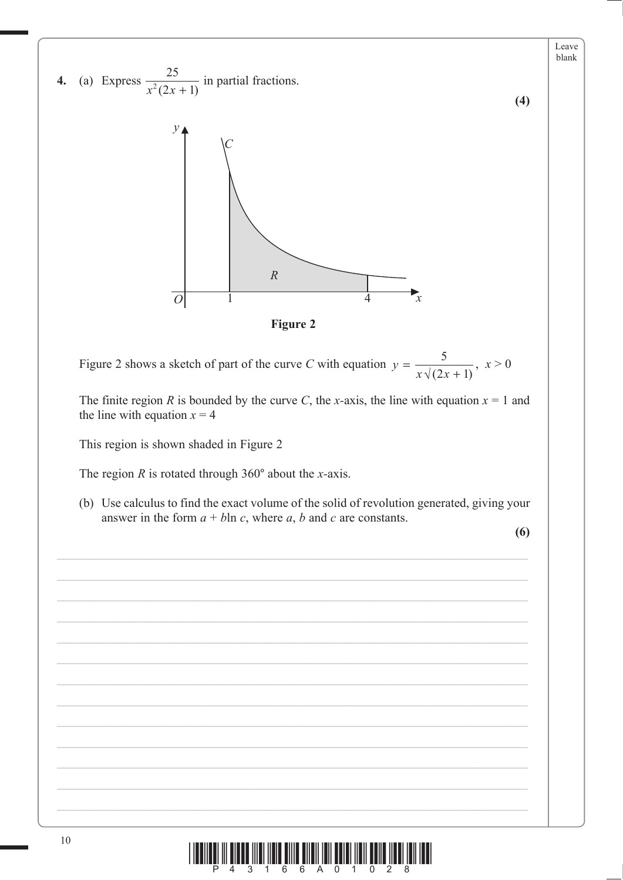

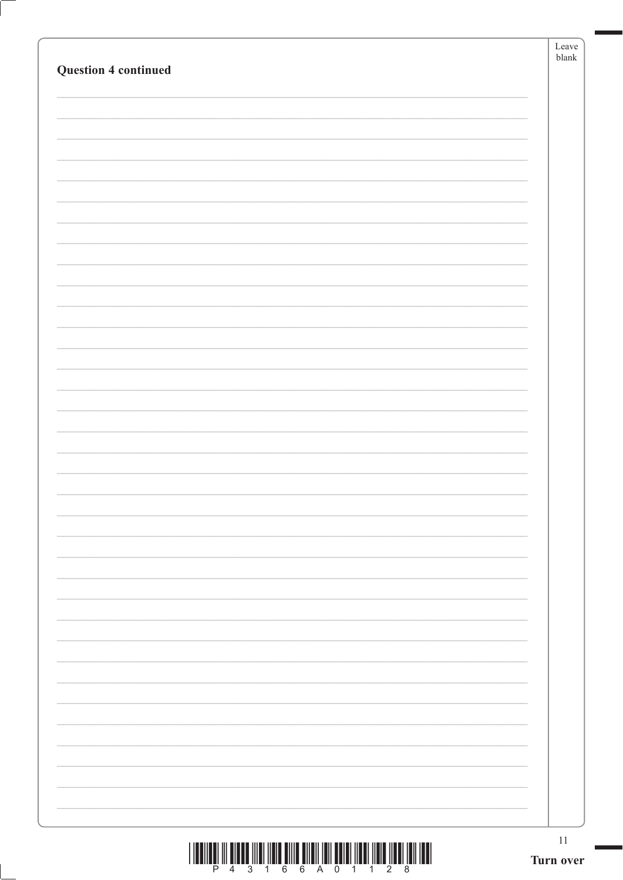|                                                                                                                                                                                                                                                                                                                                                                                                                                                               | Leave<br>blank |
|---------------------------------------------------------------------------------------------------------------------------------------------------------------------------------------------------------------------------------------------------------------------------------------------------------------------------------------------------------------------------------------------------------------------------------------------------------------|----------------|
| <b>Question 4 continued</b>                                                                                                                                                                                                                                                                                                                                                                                                                                   |                |
|                                                                                                                                                                                                                                                                                                                                                                                                                                                               |                |
|                                                                                                                                                                                                                                                                                                                                                                                                                                                               |                |
|                                                                                                                                                                                                                                                                                                                                                                                                                                                               |                |
|                                                                                                                                                                                                                                                                                                                                                                                                                                                               |                |
|                                                                                                                                                                                                                                                                                                                                                                                                                                                               |                |
|                                                                                                                                                                                                                                                                                                                                                                                                                                                               |                |
|                                                                                                                                                                                                                                                                                                                                                                                                                                                               |                |
|                                                                                                                                                                                                                                                                                                                                                                                                                                                               |                |
|                                                                                                                                                                                                                                                                                                                                                                                                                                                               |                |
|                                                                                                                                                                                                                                                                                                                                                                                                                                                               |                |
|                                                                                                                                                                                                                                                                                                                                                                                                                                                               |                |
|                                                                                                                                                                                                                                                                                                                                                                                                                                                               |                |
|                                                                                                                                                                                                                                                                                                                                                                                                                                                               |                |
|                                                                                                                                                                                                                                                                                                                                                                                                                                                               |                |
|                                                                                                                                                                                                                                                                                                                                                                                                                                                               |                |
|                                                                                                                                                                                                                                                                                                                                                                                                                                                               |                |
|                                                                                                                                                                                                                                                                                                                                                                                                                                                               |                |
|                                                                                                                                                                                                                                                                                                                                                                                                                                                               |                |
|                                                                                                                                                                                                                                                                                                                                                                                                                                                               |                |
|                                                                                                                                                                                                                                                                                                                                                                                                                                                               |                |
|                                                                                                                                                                                                                                                                                                                                                                                                                                                               |                |
|                                                                                                                                                                                                                                                                                                                                                                                                                                                               |                |
|                                                                                                                                                                                                                                                                                                                                                                                                                                                               |                |
|                                                                                                                                                                                                                                                                                                                                                                                                                                                               |                |
|                                                                                                                                                                                                                                                                                                                                                                                                                                                               |                |
|                                                                                                                                                                                                                                                                                                                                                                                                                                                               |                |
|                                                                                                                                                                                                                                                                                                                                                                                                                                                               |                |
|                                                                                                                                                                                                                                                                                                                                                                                                                                                               |                |
|                                                                                                                                                                                                                                                                                                                                                                                                                                                               |                |
|                                                                                                                                                                                                                                                                                                                                                                                                                                                               |                |
|                                                                                                                                                                                                                                                                                                                                                                                                                                                               |                |
|                                                                                                                                                                                                                                                                                                                                                                                                                                                               |                |
|                                                                                                                                                                                                                                                                                                                                                                                                                                                               | 11             |
| $\begin{array}{c} \text{if} \ \text{if} \ \text{if} \ \text{if} \ \text{if} \ \text{if} \ \text{if} \ \text{if} \ \text{if} \ \text{if} \ \text{if} \ \text{if} \ \text{if} \ \text{if} \ \text{if} \ \text{if} \ \text{if} \ \text{if} \ \text{if} \ \text{if} \ \text{if} \ \text{if} \ \text{if} \ \text{if} \ \text{if} \ \text{if} \ \text{if} \ \text{if} \ \text{if} \ \text{if} \ \text{if} \ \text{if} \ \text{if} \ \text{if} \ \text{if} \ \text{$ | Turn over      |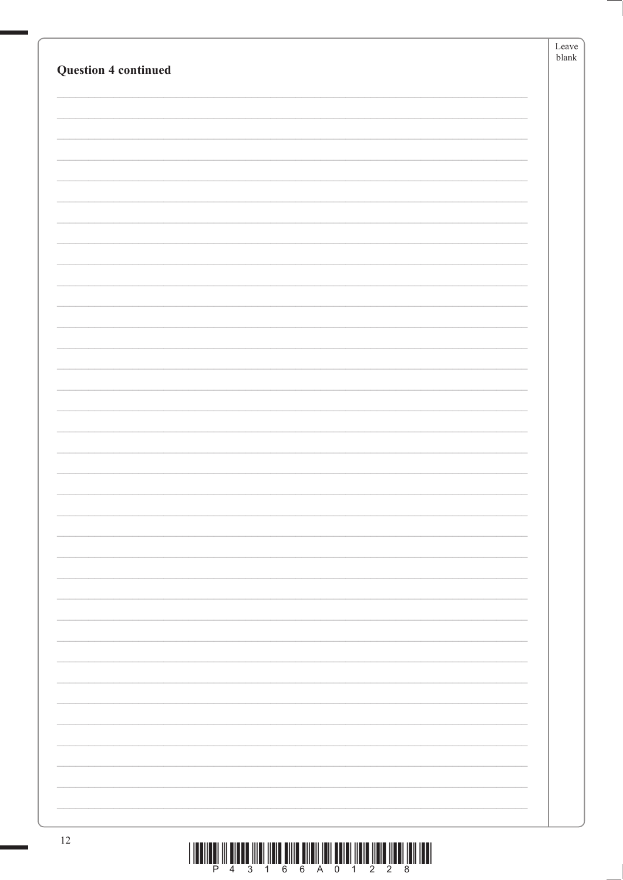| <b>Question 4 continued</b> | Leave<br>${\tt blank}$ |
|-----------------------------|------------------------|
|                             |                        |
|                             |                        |
|                             |                        |
|                             |                        |
|                             |                        |
|                             |                        |
|                             |                        |
|                             |                        |
|                             |                        |
|                             |                        |
|                             |                        |
|                             |                        |
|                             |                        |
|                             |                        |
| 12                          |                        |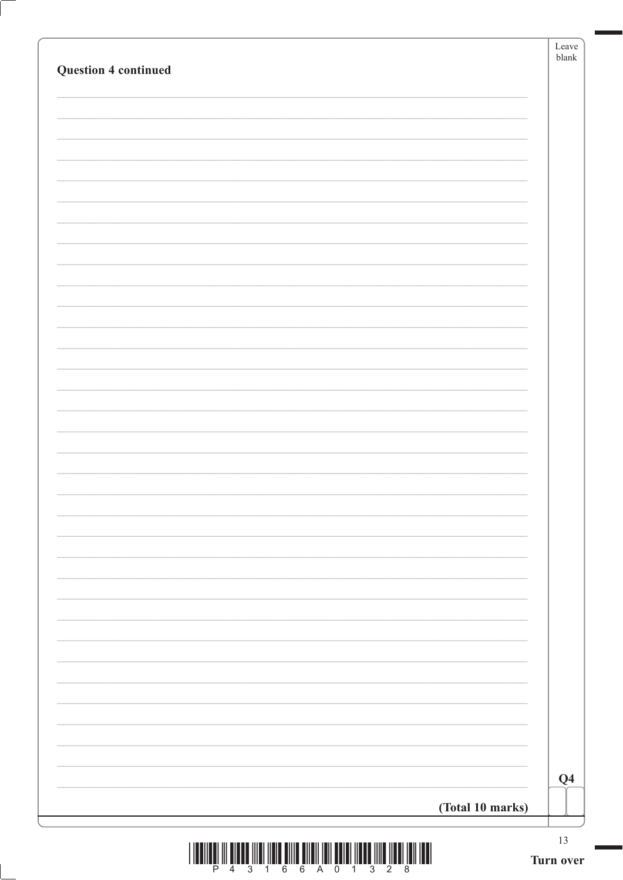| <b>Question 4 continued</b> |                  | Leave<br>${\tt blank}$ |
|-----------------------------|------------------|------------------------|
|                             |                  |                        |
|                             |                  |                        |
|                             |                  |                        |
|                             |                  |                        |
|                             |                  |                        |
|                             |                  |                        |
|                             |                  |                        |
|                             |                  |                        |
|                             |                  |                        |
|                             |                  |                        |
|                             |                  |                        |
|                             |                  |                        |
|                             |                  |                        |
|                             |                  |                        |
|                             |                  |                        |
|                             |                  |                        |
|                             |                  |                        |
|                             |                  |                        |
|                             |                  |                        |
|                             |                  |                        |
|                             |                  |                        |
|                             |                  |                        |
|                             |                  |                        |
|                             |                  |                        |
|                             |                  |                        |
|                             |                  |                        |
|                             |                  |                        |
|                             |                  | Q <sub>4</sub>         |
|                             | (Total 10 marks) |                        |

 $\frac{1}{2}\left\|\left[\begin{array}{c}1\\1\end{array}\right]\right\|\left[\begin{array}{c}1\\2\end{array}\right]\left[\begin{array}{c}1\\3\end{array}\right]\left[\begin{array}{c}1\\1\end{array}\right]\left[\begin{array}{c}1\\6\end{array}\right]\left[\begin{array}{c}1\\6\end{array}\right]\left[\begin{array}{c}1\\1\end{array}\right]\left[\begin{array}{c}1\\2\end{array}\right]\left[\begin{array}{c}1\\3\end{array}\right]\left[\begin{array}{c}1\\2\end{array}\right]\left[\begin{array}{c}1\\8\end{array}\right]\left[\begin{array}{c}1$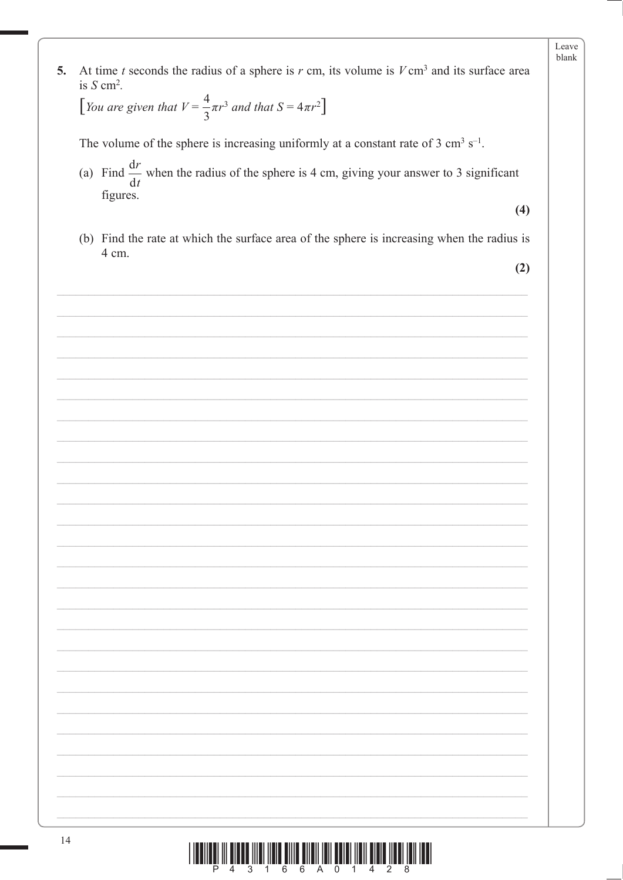| 5. | At time t seconds the radius of a sphere is $r$ cm, its volume is $V \text{ cm}^3$ and its surface area<br>is $S \text{ cm}^2$ . |  |
|----|----------------------------------------------------------------------------------------------------------------------------------|--|
|    | [You are given that $V = \frac{4}{3}\pi r^3$ and that $S = 4\pi r^2$ ]                                                           |  |
|    | The volume of the sphere is increasing uniformly at a constant rate of 3 cm <sup>3</sup> s <sup>-1</sup> .                       |  |
|    | (a) Find $\frac{dr}{dt}$ when the radius of the sphere is 4 cm, giving your answer to 3 significant<br>figures.                  |  |
|    | (4)                                                                                                                              |  |
|    | (b) Find the rate at which the surface area of the sphere is increasing when the radius is<br>4 cm.                              |  |
|    | (2)                                                                                                                              |  |
|    |                                                                                                                                  |  |
|    |                                                                                                                                  |  |
|    |                                                                                                                                  |  |
|    |                                                                                                                                  |  |
|    |                                                                                                                                  |  |
|    |                                                                                                                                  |  |
|    |                                                                                                                                  |  |
|    |                                                                                                                                  |  |
|    |                                                                                                                                  |  |
|    |                                                                                                                                  |  |
|    |                                                                                                                                  |  |
|    |                                                                                                                                  |  |
|    |                                                                                                                                  |  |
|    |                                                                                                                                  |  |
|    |                                                                                                                                  |  |
|    |                                                                                                                                  |  |
|    |                                                                                                                                  |  |
|    |                                                                                                                                  |  |
|    |                                                                                                                                  |  |
|    |                                                                                                                                  |  |
|    |                                                                                                                                  |  |
|    |                                                                                                                                  |  |

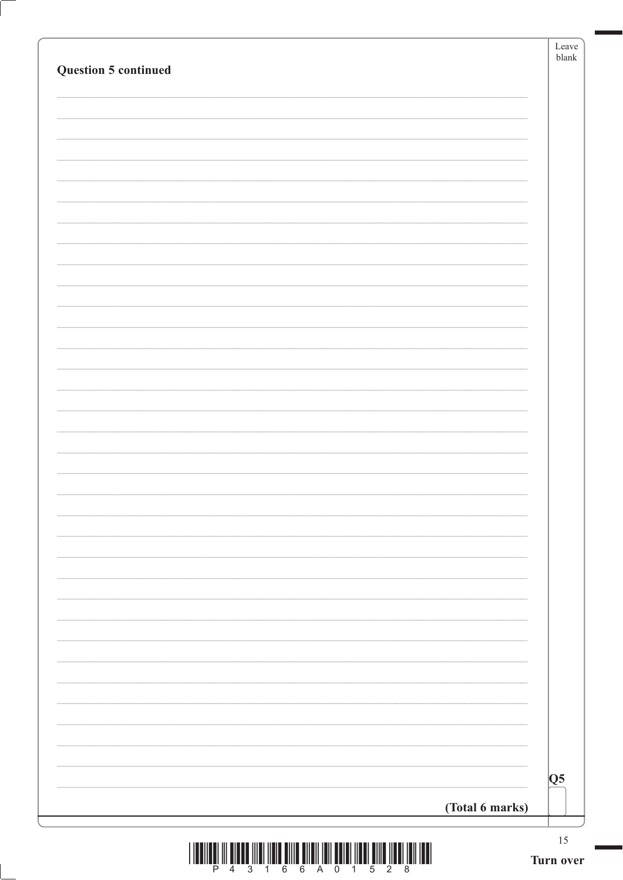|                                                                                                      | Leave<br>$b$ lank |
|------------------------------------------------------------------------------------------------------|-------------------|
| <b>Question 5 continued</b>                                                                          |                   |
|                                                                                                      |                   |
|                                                                                                      |                   |
|                                                                                                      |                   |
|                                                                                                      |                   |
|                                                                                                      |                   |
|                                                                                                      |                   |
|                                                                                                      |                   |
|                                                                                                      |                   |
|                                                                                                      |                   |
|                                                                                                      |                   |
|                                                                                                      |                   |
|                                                                                                      |                   |
|                                                                                                      |                   |
|                                                                                                      |                   |
|                                                                                                      |                   |
|                                                                                                      |                   |
|                                                                                                      |                   |
|                                                                                                      |                   |
|                                                                                                      |                   |
|                                                                                                      |                   |
|                                                                                                      |                   |
|                                                                                                      |                   |
|                                                                                                      |                   |
|                                                                                                      |                   |
|                                                                                                      |                   |
|                                                                                                      |                   |
|                                                                                                      |                   |
|                                                                                                      |                   |
|                                                                                                      |                   |
|                                                                                                      |                   |
|                                                                                                      |                   |
|                                                                                                      | Q5                |
| (Total 6 marks)                                                                                      |                   |
| <u>ו ושמו זומן ומשון מוזומן וממון ומוסמן וומן זומן מוזומן מוזומן משון ומוזו מממוס זון וממווסמן ו</u> | $15\,$            |

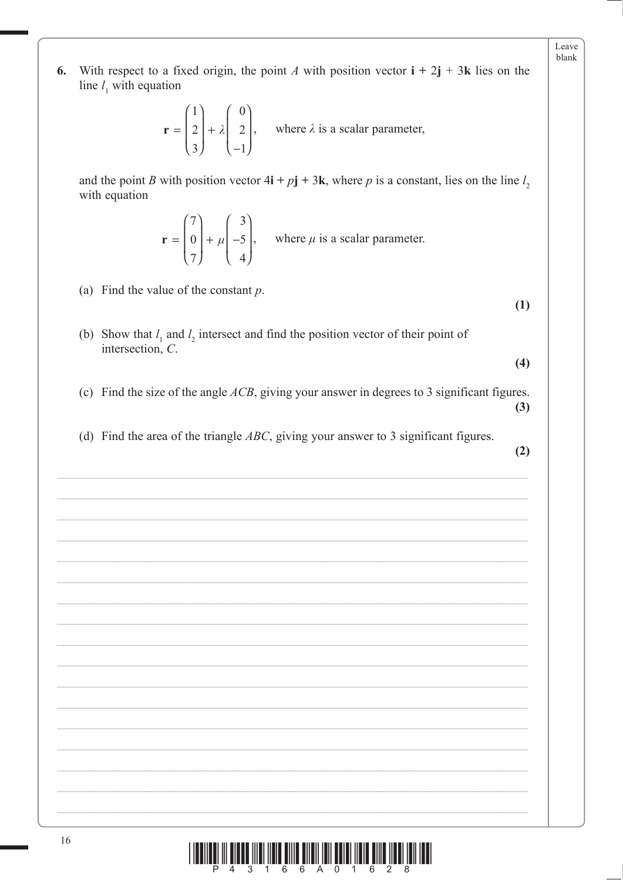With respect to a fixed origin, the point A with position vector  $\mathbf{i} + 2\mathbf{j} + 3\mathbf{k}$  lies on the 6. line  $l_1$  with equation

$$
\mathbf{r} = \begin{pmatrix} 1 \\ 2 \\ 3 \end{pmatrix} + \lambda \begin{pmatrix} 0 \\ 2 \\ -1 \end{pmatrix}, \text{ where } \lambda \text{ is a scalar parameter,}
$$

and the point B with position vector  $4i + pj + 3k$ , where p is a constant, lies on the line  $l_2$ with equation

$$
\mathbf{r} = \begin{pmatrix} 7 \\ 0 \\ 7 \end{pmatrix} + \mu \begin{pmatrix} 3 \\ -5 \\ 4 \end{pmatrix}, \text{ where } \mu \text{ is a scalar parameter.}
$$

(a) Find the value of the constant  $p$ .

 $(1)$ 

 $(4)$ 

Leave blank

- (b) Show that  $l_1$  and  $l_2$  intersect and find the position vector of their point of intersection,  $C$ .
- (c) Find the size of the angle  $ACB$ , giving your answer in degrees to 3 significant figures.  $(3)$
- (d) Find the area of the triangle  $ABC$ , giving your answer to 3 significant figures.

 $(2)$ 

3 1 6 6 A 0 1 6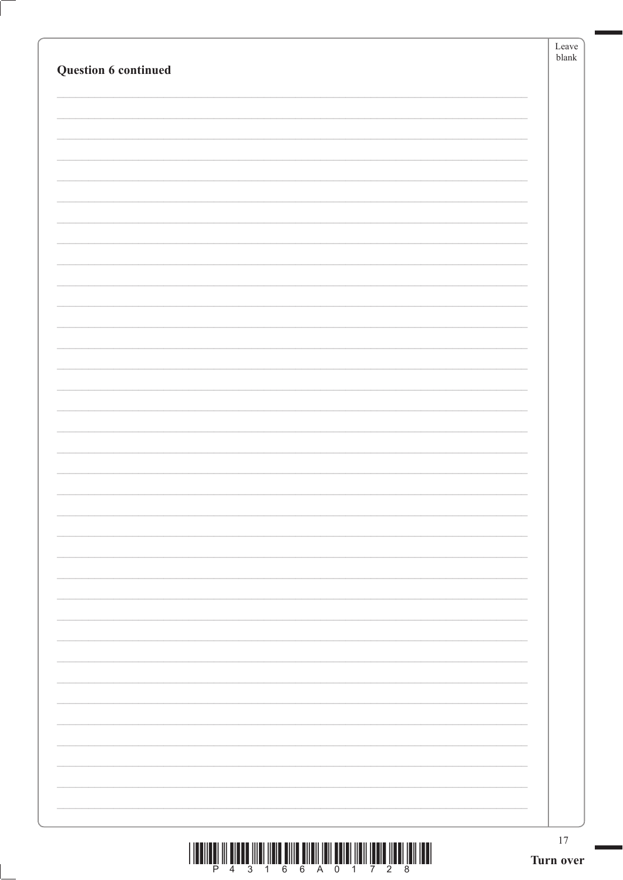| $\begin{array}{c} \text{if} \ \text{if} \ \text{if} \ \text{if} \ \text{if} \ \text{if} \ \text{if} \ \text{if} \ \text{if} \ \text{if} \ \text{if} \ \text{if} \ \text{if} \ \text{if} \ \text{if} \ \text{if} \ \text{if} \ \text{if} \ \text{if} \ \text{if} \ \text{if} \ \text{if} \ \text{if} \ \text{if} \ \text{if} \ \text{if} \ \text{if} \ \text{if} \ \text{if} \ \text{if} \ \text{if} \ \text{if} \ \text{if} \ \text{if} \ \text{if} \ \text{$ | 17 |
|---------------------------------------------------------------------------------------------------------------------------------------------------------------------------------------------------------------------------------------------------------------------------------------------------------------------------------------------------------------------------------------------------------------------------------------------------------------|----|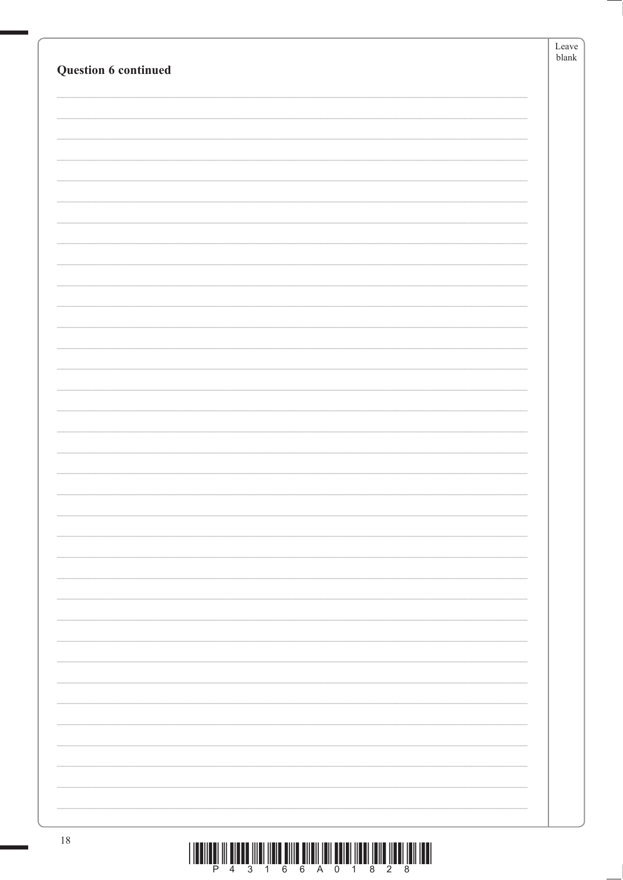|                                                                                                                                                                                                                                            | Leave |
|--------------------------------------------------------------------------------------------------------------------------------------------------------------------------------------------------------------------------------------------|-------|
| Question 6 continued                                                                                                                                                                                                                       | blank |
|                                                                                                                                                                                                                                            |       |
|                                                                                                                                                                                                                                            |       |
|                                                                                                                                                                                                                                            |       |
|                                                                                                                                                                                                                                            |       |
|                                                                                                                                                                                                                                            |       |
|                                                                                                                                                                                                                                            |       |
|                                                                                                                                                                                                                                            |       |
|                                                                                                                                                                                                                                            |       |
|                                                                                                                                                                                                                                            |       |
|                                                                                                                                                                                                                                            |       |
|                                                                                                                                                                                                                                            |       |
|                                                                                                                                                                                                                                            |       |
|                                                                                                                                                                                                                                            |       |
|                                                                                                                                                                                                                                            |       |
|                                                                                                                                                                                                                                            |       |
|                                                                                                                                                                                                                                            |       |
|                                                                                                                                                                                                                                            |       |
|                                                                                                                                                                                                                                            |       |
|                                                                                                                                                                                                                                            |       |
|                                                                                                                                                                                                                                            |       |
|                                                                                                                                                                                                                                            |       |
|                                                                                                                                                                                                                                            |       |
|                                                                                                                                                                                                                                            |       |
|                                                                                                                                                                                                                                            |       |
|                                                                                                                                                                                                                                            |       |
|                                                                                                                                                                                                                                            |       |
|                                                                                                                                                                                                                                            |       |
|                                                                                                                                                                                                                                            |       |
|                                                                                                                                                                                                                                            |       |
|                                                                                                                                                                                                                                            |       |
|                                                                                                                                                                                                                                            |       |
|                                                                                                                                                                                                                                            |       |
|                                                                                                                                                                                                                                            |       |
|                                                                                                                                                                                                                                            |       |
|                                                                                                                                                                                                                                            |       |
|                                                                                                                                                                                                                                            |       |
|                                                                                                                                                                                                                                            |       |
|                                                                                                                                                                                                                                            |       |
|                                                                                                                                                                                                                                            |       |
|                                                                                                                                                                                                                                            |       |
|                                                                                                                                                                                                                                            |       |
|                                                                                                                                                                                                                                            |       |
| 18<br><u>t toolland in olong their color of the strong strong and the strong theory to the theory to the top of the strong strong and the strong strong strong and the strong strong strong strong strong strong strong strong strong </u> |       |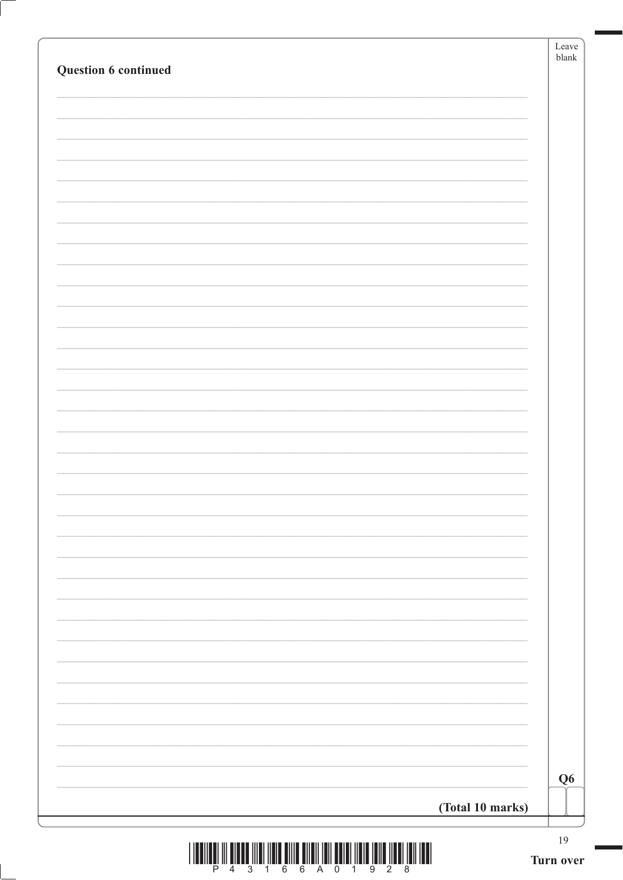| Question 6 continued |                  | Leave<br>${\tt blank}$ |
|----------------------|------------------|------------------------|
|                      |                  |                        |
|                      |                  |                        |
|                      |                  |                        |
|                      |                  |                        |
|                      |                  |                        |
|                      |                  |                        |
|                      |                  |                        |
|                      |                  |                        |
|                      |                  |                        |
|                      |                  |                        |
|                      |                  |                        |
|                      |                  |                        |
|                      |                  |                        |
|                      |                  |                        |
|                      |                  |                        |
|                      |                  |                        |
|                      |                  |                        |
|                      |                  |                        |
|                      |                  |                        |
|                      |                  |                        |
|                      |                  |                        |
|                      |                  |                        |
|                      |                  |                        |
|                      |                  |                        |
|                      |                  |                        |
|                      |                  |                        |
|                      |                  |                        |
|                      |                  |                        |
|                      |                  |                        |
|                      |                  |                        |
|                      |                  | Q <sub>6</sub>         |
|                      | (Total 10 marks) |                        |
|                      |                  |                        |

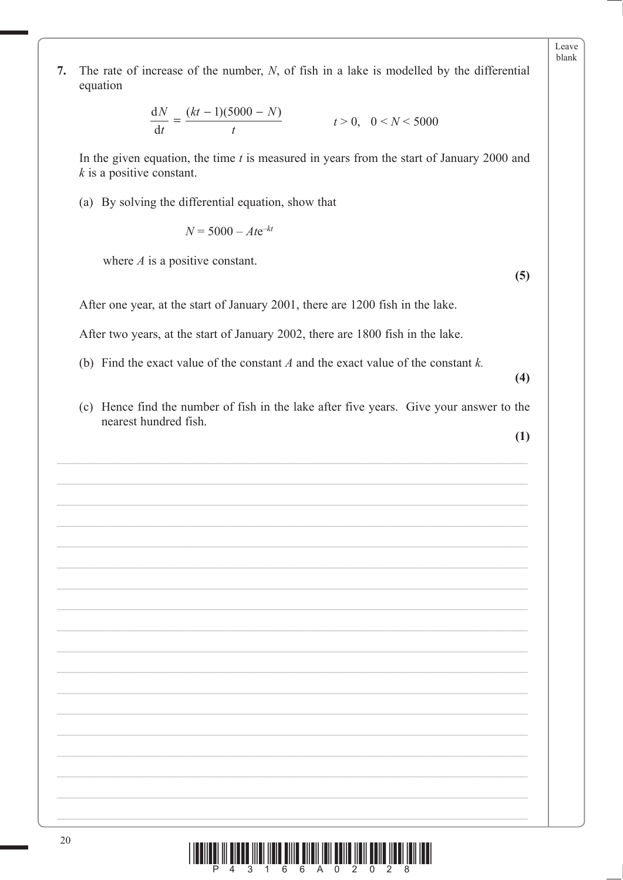7. The rate of increase of the number,  $N$ , of fish in a lake is modelled by the differential equation

$$
\frac{dN}{dt} = \frac{(kt - 1)(5000 - N)}{t}
$$
  $t > 0, \quad 0 < N < 5000$ 

In the given equation, the time  $t$  is measured in years from the start of January 2000 and  $k$  is a positive constant.

(a) By solving the differential equation, show that

 $N = 5000 - Ate^{-kt}$ 

where  $A$  is a positive constant.

After one year, at the start of January 2001, there are 1200 fish in the lake.

After two years, at the start of January 2002, there are 1800 fish in the lake.

- (b) Find the exact value of the constant  $A$  and the exact value of the constant  $k$ .
- (c) Hence find the number of fish in the lake after five years. Give your answer to the nearest hundred fish.

 $(4)$ 

 $(5)$ 

Leave blank

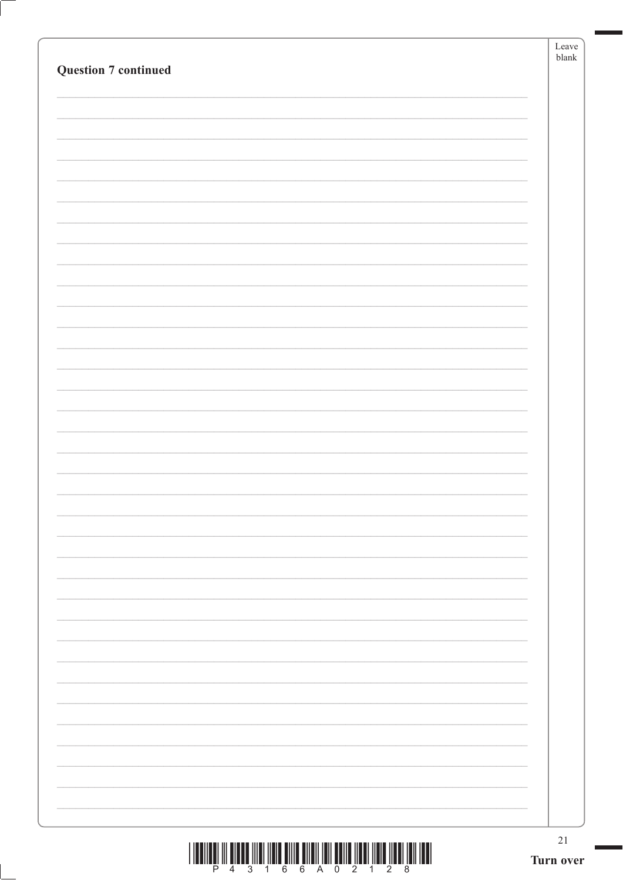| $\begin{array}{c} \text{if} \ \text{if} \ \text{if} \ \text{if} \ \text{if} \ \text{if} \ \text{if} \ \text{if} \ \text{if} \ \text{if} \ \text{if} \ \text{if} \ \text{if} \ \text{if} \ \text{if} \ \text{if} \ \text{if} \ \text{if} \ \text{if} \ \text{if} \ \text{if} \ \text{if} \ \text{if} \ \text{if} \ \text{if} \ \text{if} \ \text{if} \ \text{if} \ \text{if} \ \text{if} \ \text{if} \ \text{if} \ \text{if} \ \text{if} \ \text{if} \ \text{$ | 21<br>Turn over |
|---------------------------------------------------------------------------------------------------------------------------------------------------------------------------------------------------------------------------------------------------------------------------------------------------------------------------------------------------------------------------------------------------------------------------------------------------------------|-----------------|
|                                                                                                                                                                                                                                                                                                                                                                                                                                                               |                 |
|                                                                                                                                                                                                                                                                                                                                                                                                                                                               |                 |
|                                                                                                                                                                                                                                                                                                                                                                                                                                                               |                 |
|                                                                                                                                                                                                                                                                                                                                                                                                                                                               |                 |
|                                                                                                                                                                                                                                                                                                                                                                                                                                                               |                 |
|                                                                                                                                                                                                                                                                                                                                                                                                                                                               |                 |
|                                                                                                                                                                                                                                                                                                                                                                                                                                                               |                 |
|                                                                                                                                                                                                                                                                                                                                                                                                                                                               |                 |
|                                                                                                                                                                                                                                                                                                                                                                                                                                                               |                 |
|                                                                                                                                                                                                                                                                                                                                                                                                                                                               |                 |
|                                                                                                                                                                                                                                                                                                                                                                                                                                                               |                 |
|                                                                                                                                                                                                                                                                                                                                                                                                                                                               |                 |
|                                                                                                                                                                                                                                                                                                                                                                                                                                                               |                 |
|                                                                                                                                                                                                                                                                                                                                                                                                                                                               |                 |
|                                                                                                                                                                                                                                                                                                                                                                                                                                                               |                 |
|                                                                                                                                                                                                                                                                                                                                                                                                                                                               |                 |
|                                                                                                                                                                                                                                                                                                                                                                                                                                                               |                 |
|                                                                                                                                                                                                                                                                                                                                                                                                                                                               |                 |
|                                                                                                                                                                                                                                                                                                                                                                                                                                                               |                 |
|                                                                                                                                                                                                                                                                                                                                                                                                                                                               |                 |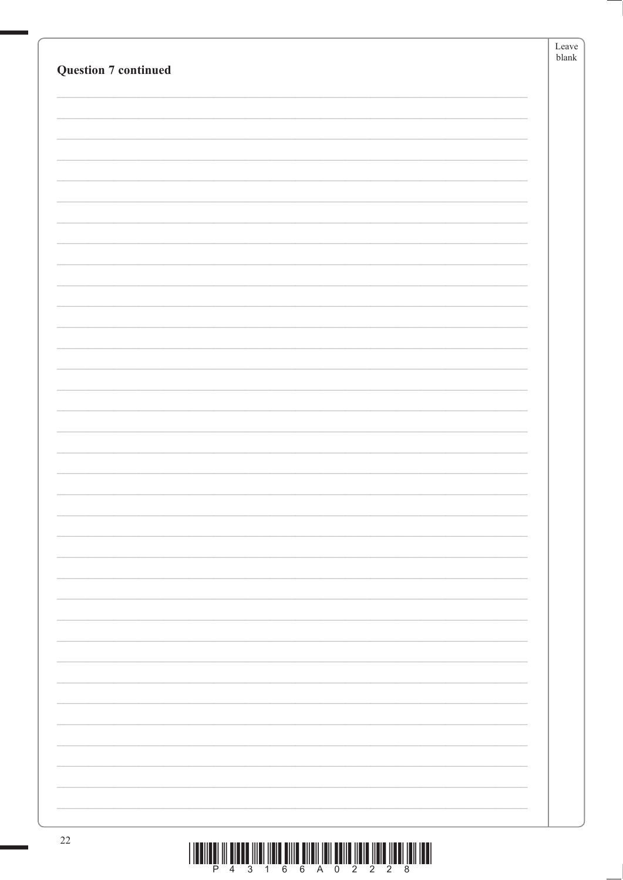| <b>Question 7 continued</b> | Leave<br>$\ensuremath{\textrm{blank}}$ |
|-----------------------------|----------------------------------------|
|                             |                                        |
|                             |                                        |
|                             |                                        |
|                             |                                        |
|                             |                                        |
|                             |                                        |
|                             |                                        |
|                             |                                        |
|                             |                                        |
|                             |                                        |
|                             |                                        |
|                             |                                        |
|                             |                                        |
|                             |                                        |
|                             |                                        |
|                             |                                        |
|                             |                                        |
|                             |                                        |
|                             |                                        |
|                             |                                        |
|                             |                                        |
|                             |                                        |
| $\mathcal{D}$               |                                        |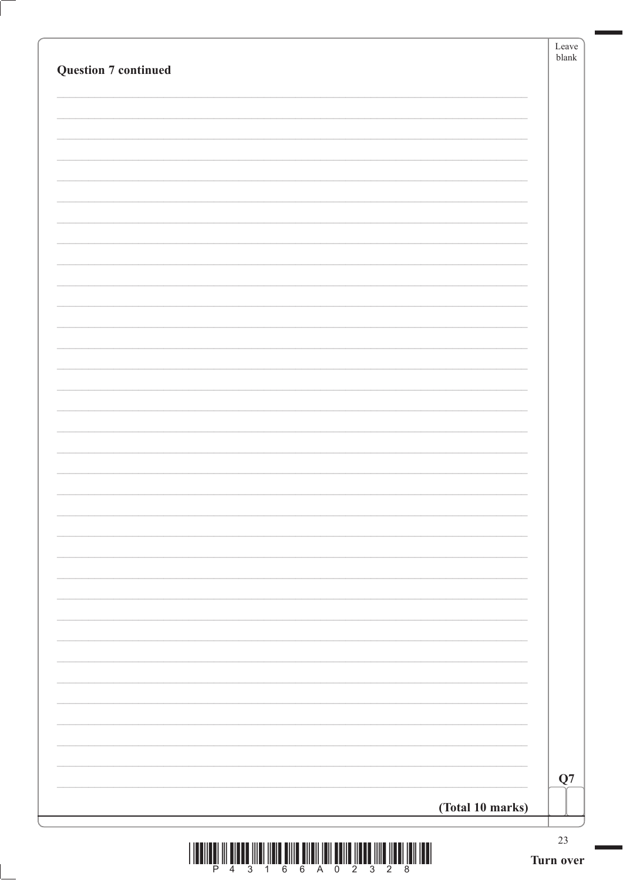| <b>Question 7 continued</b> | Leave<br>${\tt blank}$ |
|-----------------------------|------------------------|
|                             |                        |
|                             |                        |
|                             |                        |
|                             |                        |
|                             |                        |
|                             |                        |
|                             |                        |
|                             |                        |
|                             |                        |
|                             |                        |
|                             |                        |
|                             |                        |
|                             |                        |
|                             |                        |
|                             |                        |
|                             |                        |
|                             |                        |
|                             |                        |
|                             |                        |
|                             |                        |
|                             |                        |
|                             |                        |
|                             |                        |
|                             |                        |
|                             |                        |
|                             | Q7                     |
| (Total 10 marks)            |                        |
|                             | $23\,$                 |



ſ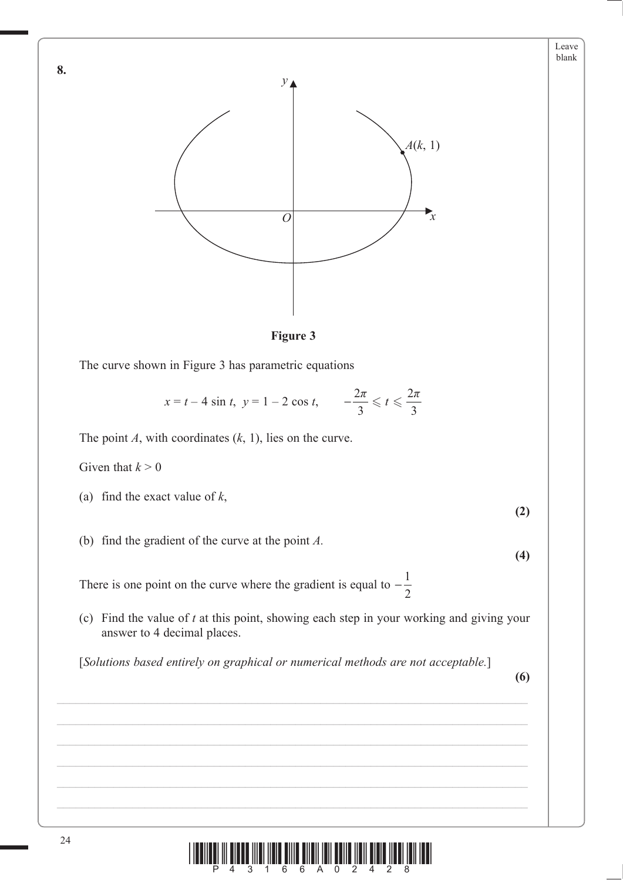

**Figure 3**

The curve shown in Figure 3 has parametric equations

$$
x = t - 4 \sin t
$$
,  $y = 1 - 2 \cos t$ ,  $-\frac{2\pi}{3} \le t \le \frac{2\pi}{3}$ 

The point *A*, with coordinates (*k*, 1), lies on the curve.

Given that  $k > 0$ 

**8.**

- (a) find the exact value of *k*,
- (b) find the gradient of the curve at the point *A.*

There is one point on the curve where the gradient is equal to  $-\frac{1}{2}$ 

 (c) Find the value of *t* at this point, showing each step in your working and giving your answer to 4 decimal places.

[*Solutions based entirely on graphical or numerical methods are not acceptable.*]

**(6)**

**(2)**

**(4)**

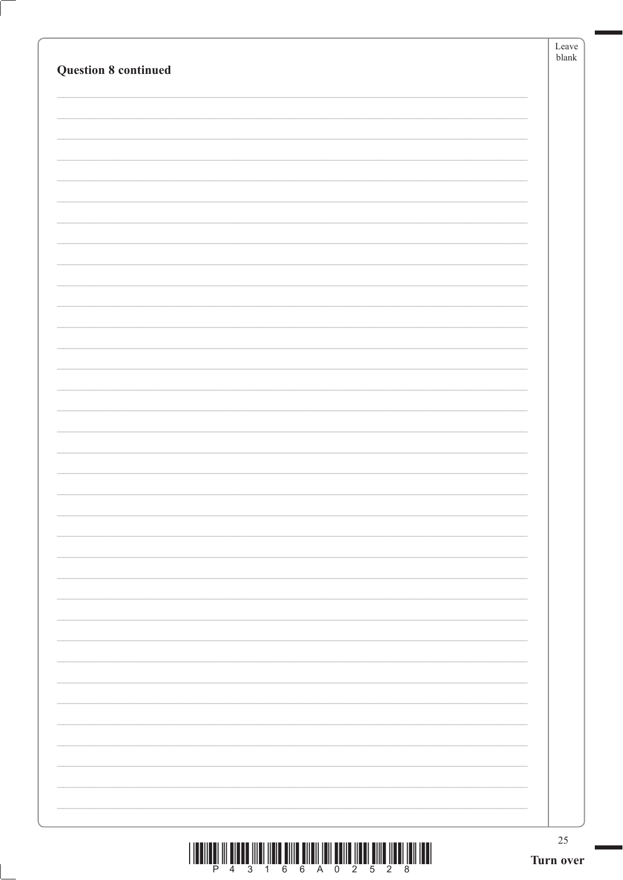| $\begin{array}{c} \text{if} \ \text{if} \ \text{if} \ \text{if} \ \text{if} \ \text{if} \ \text{if} \ \text{if} \ \text{if} \ \text{if} \ \text{if} \ \text{if} \ \text{if} \ \text{if} \ \text{if} \ \text{if} \ \text{if} \ \text{if} \ \text{if} \ \text{if} \ \text{if} \ \text{if} \ \text{if} \ \text{if} \ \text{if} \ \text{if} \ \text{if} \ \text{if} \ \text{if} \ \text{if} \ \text{if} \ \text{if} \ \text{if} \ \text{if} \ \text{if} \ \text{$ | $25\,$ |
|---------------------------------------------------------------------------------------------------------------------------------------------------------------------------------------------------------------------------------------------------------------------------------------------------------------------------------------------------------------------------------------------------------------------------------------------------------------|--------|
|                                                                                                                                                                                                                                                                                                                                                                                                                                                               |        |
|                                                                                                                                                                                                                                                                                                                                                                                                                                                               |        |
|                                                                                                                                                                                                                                                                                                                                                                                                                                                               |        |
|                                                                                                                                                                                                                                                                                                                                                                                                                                                               |        |
|                                                                                                                                                                                                                                                                                                                                                                                                                                                               |        |
|                                                                                                                                                                                                                                                                                                                                                                                                                                                               |        |
|                                                                                                                                                                                                                                                                                                                                                                                                                                                               |        |
|                                                                                                                                                                                                                                                                                                                                                                                                                                                               |        |
|                                                                                                                                                                                                                                                                                                                                                                                                                                                               |        |
|                                                                                                                                                                                                                                                                                                                                                                                                                                                               |        |
|                                                                                                                                                                                                                                                                                                                                                                                                                                                               |        |
|                                                                                                                                                                                                                                                                                                                                                                                                                                                               |        |
|                                                                                                                                                                                                                                                                                                                                                                                                                                                               |        |
| <b>Question 8 continued</b>                                                                                                                                                                                                                                                                                                                                                                                                                                   |        |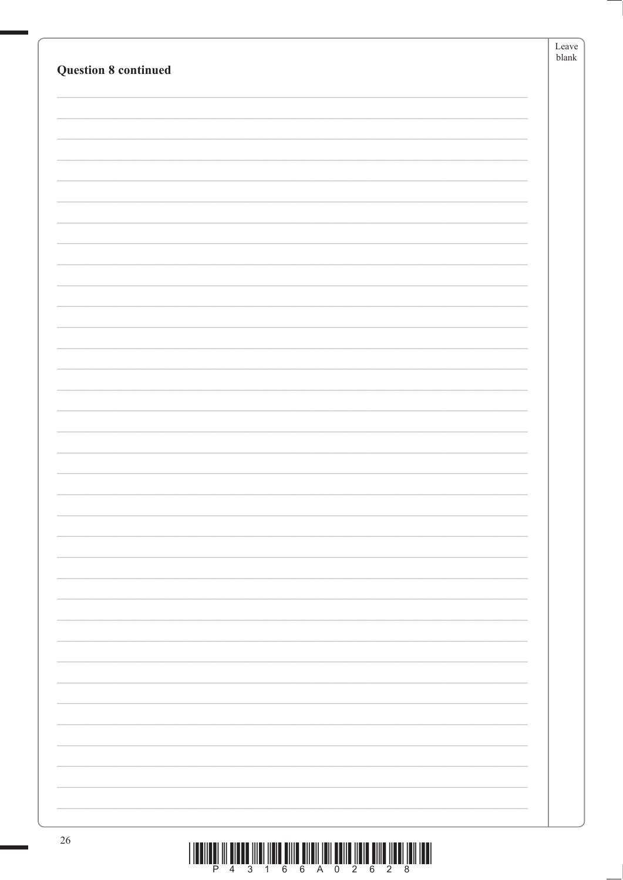|                             | Leave<br>blank |
|-----------------------------|----------------|
| <b>Question 8 continued</b> |                |
|                             |                |
|                             |                |
|                             |                |
|                             |                |
|                             |                |
|                             |                |
|                             |                |
|                             |                |
|                             |                |
|                             |                |
|                             |                |
|                             |                |
|                             |                |
|                             |                |
|                             |                |
|                             |                |
|                             |                |
|                             |                |
|                             |                |
|                             |                |
|                             |                |
|                             |                |
|                             |                |
|                             |                |
|                             |                |
|                             |                |
|                             |                |
|                             |                |
|                             |                |
|                             |                |
|                             |                |
|                             |                |
|                             |                |
|                             |                |
|                             |                |
|                             |                |
| 26<br>.                     |                |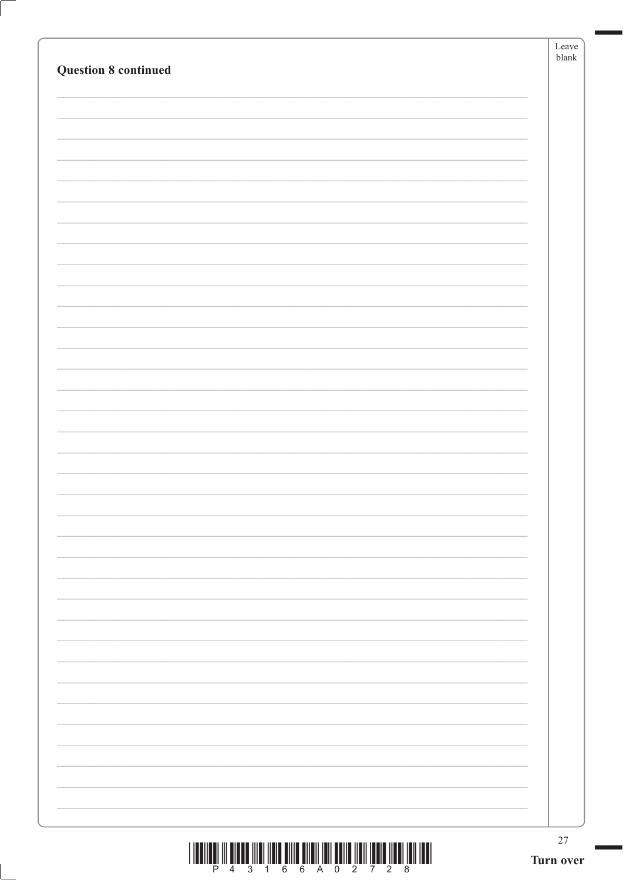| $\begin{array}{c} \text{if} \ \text{if} \ \text{if} \ \text{if} \ \text{if} \ \text{if} \ \text{if} \ \text{if} \ \text{if} \ \text{if} \ \text{if} \ \text{if} \ \text{if} \ \text{if} \ \text{if} \ \text{if} \ \text{if} \ \text{if} \ \text{if} \ \text{if} \ \text{if} \ \text{if} \ \text{if} \ \text{if} \ \text{if} \ \text{if} \ \text{if} \ \text{if} \ \text{if} \ \text{if} \ \text{if} \ \text{if} \ \text{if} \ \text{if} \ \text{if} \ \text{$ | $27\,$<br>Turn over |
|---------------------------------------------------------------------------------------------------------------------------------------------------------------------------------------------------------------------------------------------------------------------------------------------------------------------------------------------------------------------------------------------------------------------------------------------------------------|---------------------|
|                                                                                                                                                                                                                                                                                                                                                                                                                                                               |                     |
|                                                                                                                                                                                                                                                                                                                                                                                                                                                               |                     |
|                                                                                                                                                                                                                                                                                                                                                                                                                                                               |                     |
|                                                                                                                                                                                                                                                                                                                                                                                                                                                               |                     |
|                                                                                                                                                                                                                                                                                                                                                                                                                                                               |                     |
|                                                                                                                                                                                                                                                                                                                                                                                                                                                               |                     |
|                                                                                                                                                                                                                                                                                                                                                                                                                                                               |                     |
|                                                                                                                                                                                                                                                                                                                                                                                                                                                               |                     |
|                                                                                                                                                                                                                                                                                                                                                                                                                                                               |                     |
|                                                                                                                                                                                                                                                                                                                                                                                                                                                               |                     |
|                                                                                                                                                                                                                                                                                                                                                                                                                                                               |                     |
|                                                                                                                                                                                                                                                                                                                                                                                                                                                               |                     |
|                                                                                                                                                                                                                                                                                                                                                                                                                                                               |                     |
|                                                                                                                                                                                                                                                                                                                                                                                                                                                               |                     |
| <b>Question 8 continued</b>                                                                                                                                                                                                                                                                                                                                                                                                                                   | Leave<br>blank      |